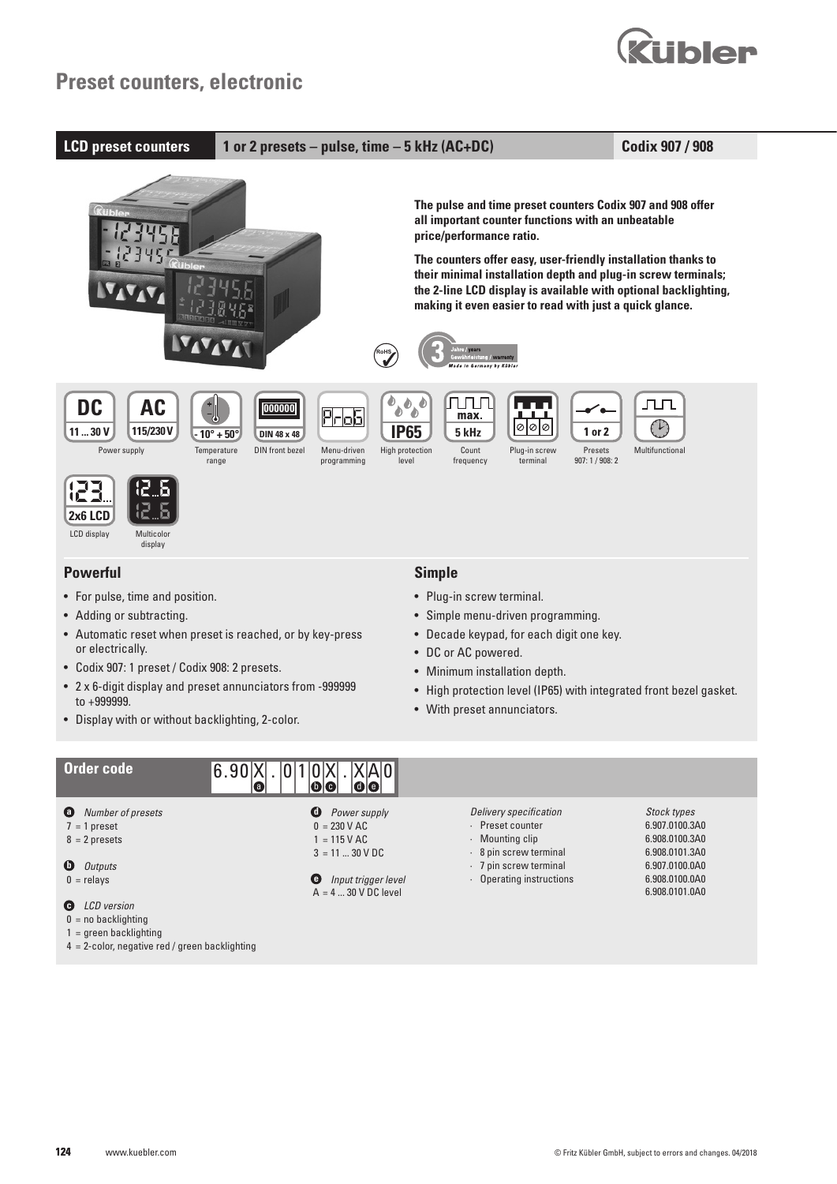



- **a** *Number of presets*
- $7 = 1$  preset
- $8 = 2$  presets
- **b** *Outputs*
- $0 =$  relays
- **c** *LCD version*
- $0 =$  no backlighting
- 1 = green backlighting
- 4 = 2-color, negative red / green backlighting
- **d** *Power supply*  $0 = 230$  V AC
- $1 = 115$  V AC
- $3 = 11 ... 30 V DC$
- **e** *Input trigger level*  $A = 4 \dots 30 \text{ V}$  DC level
- *Delivery specification* · Preset counter
- 
- · Mounting clip
- · 8 pin screw terminal
- · 7 pin screw terminal
- · Operating instructions

*Stock types* 6.907.0100.3A0 6.908.0100.3A0 6.908.0101.3A0 6.907.0100.0A0 6.908.0100.0A0 6.908.0101.0A0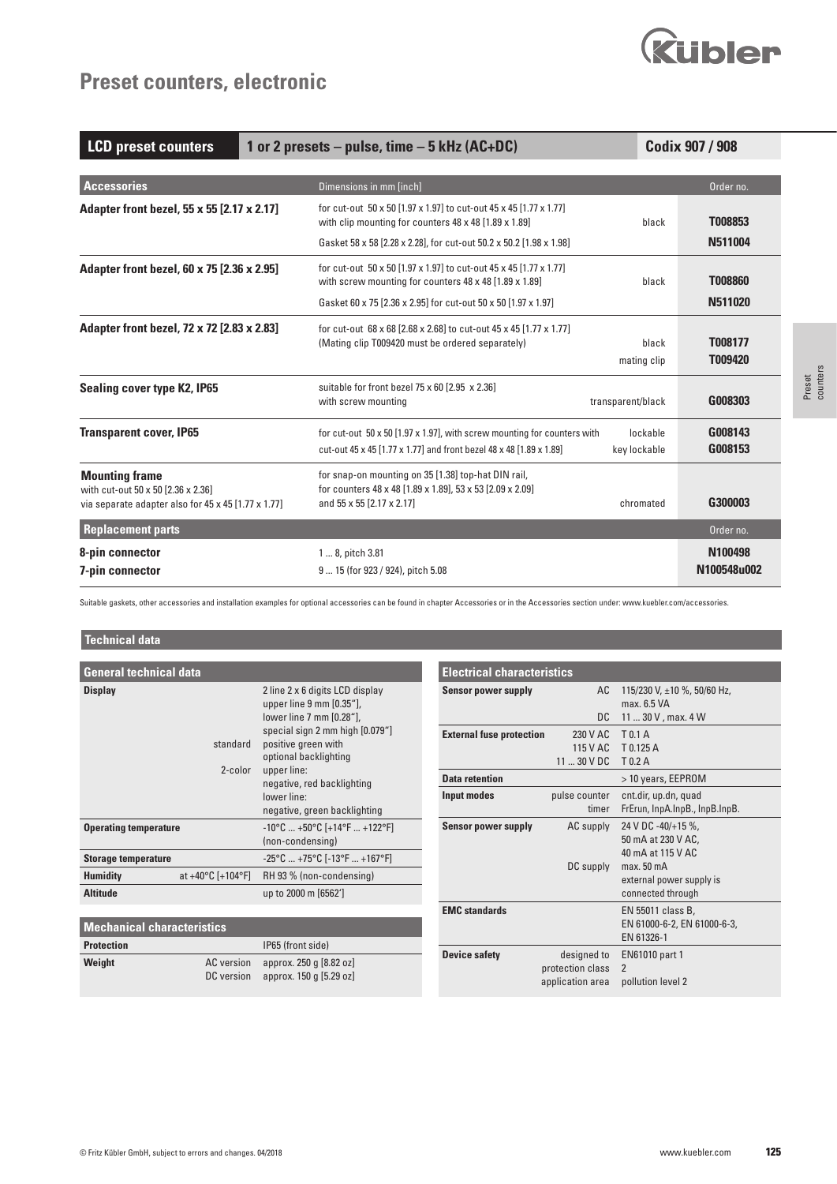

# **Preset counters, electronic**

| <b>LCD preset counters</b><br>1 or 2 presets $-$ pulse, time $-5$ kHz (AC+DC)                                      |                                                                                                                                                 |                          | Codix 907 / 908        |
|--------------------------------------------------------------------------------------------------------------------|-------------------------------------------------------------------------------------------------------------------------------------------------|--------------------------|------------------------|
| <b>Accessories</b>                                                                                                 | Dimensions in mm [inch]                                                                                                                         |                          | Order no.              |
| Adapter front bezel, 55 x 55 [2.17 x 2.17]                                                                         | for cut-out 50 x 50 [1.97 x 1.97] to cut-out 45 x 45 [1.77 x 1.77]<br>with clip mounting for counters 48 x 48 [1.89 x 1.89]                     | black                    | T008853                |
|                                                                                                                    | Gasket 58 x 58 [2.28 x 2.28], for cut-out 50.2 x 50.2 [1.98 x 1.98]                                                                             |                          | N511004                |
| Adapter front bezel, 60 x 75 [2.36 x 2.95]                                                                         | for cut-out 50 x 50 [1.97 x 1.97] to cut-out 45 x 45 [1.77 x 1.77]<br>with screw mounting for counters 48 x 48 [1.89 x 1.89]                    | black                    | <b>T008860</b>         |
|                                                                                                                    | Gasket 60 x 75 [2.36 x 2.95] for cut-out 50 x 50 [1.97 x 1.97]                                                                                  |                          | N511020                |
| Adapter front bezel, 72 x 72 [2.83 x 2.83]                                                                         | for cut-out 68 x 68 [2.68 x 2.68] to cut-out 45 x 45 [1.77 x 1.77]<br>(Mating clip T009420 must be ordered separately)                          | black<br>mating clip     | T008177<br>T009420     |
| Sealing cover type K2, IP65                                                                                        | suitable for front bezel 75 x 60 [2.95 x 2.36]<br>with screw mounting                                                                           | transparent/black        | G008303                |
| <b>Transparent cover, IP65</b>                                                                                     | for cut-out 50 x 50 [1.97 x 1.97], with screw mounting for counters with<br>cut-out 45 x 45 [1.77 x 1.77] and front bezel 48 x 48 [1.89 x 1.89] | lockable<br>key lockable | G008143<br>G008153     |
| <b>Mounting frame</b><br>with cut-out 50 x 50 [2.36 x 2.36]<br>via separate adapter also for 45 x 45 [1.77 x 1.77] | for snap-on mounting on 35 [1.38] top-hat DIN rail,<br>for counters 48 x 48 [1.89 x 1.89], 53 x 53 [2.09 x 2.09]<br>and 55 x 55 [2.17 x 2.17]   | chromated                | G300003                |
| <b>Replacement parts</b>                                                                                           |                                                                                                                                                 |                          | Order no.              |
| 8-pin connector<br>7-pin connector                                                                                 | 1  8, pitch 3.81<br>9  15 (for 923 / 924), pitch 5.08                                                                                           |                          | N100498<br>N100548u002 |

Suitable gaskets, other accessories and installation examples for optional accessories can be found in chapter Accessories or in the Accessories section under: www.kuebler.com/accessories.

**Electrical characteristics**

## **Technical data**

| <b>General technical data</b>                             |                                                                                                                                                                                                                                        |  |  |  |
|-----------------------------------------------------------|----------------------------------------------------------------------------------------------------------------------------------------------------------------------------------------------------------------------------------------|--|--|--|
| <b>Display</b><br>standard<br>2-color                     | 2 line 2 x 6 digits LCD display<br>upper line 9 mm [0.35"],<br>lower line 7 mm [0.28"],<br>special sign 2 mm high [0.079"]<br>positive green with<br>optional backlighting<br>upper line:<br>negative, red backlighting<br>lower line: |  |  |  |
|                                                           | negative, green backlighting                                                                                                                                                                                                           |  |  |  |
| <b>Operating temperature</b>                              | $-10^{\circ}$ C $+50^{\circ}$ C [+14°F  +122°F]<br>(non-condensing)                                                                                                                                                                    |  |  |  |
| <b>Storage temperature</b>                                | $-25^{\circ}$ C $+75^{\circ}$ C [ $-13^{\circ}$ F $+167^{\circ}$ F]                                                                                                                                                                    |  |  |  |
| <b>Humidity</b><br>at $+40^{\circ}$ C [+104 $^{\circ}$ F] | RH 93 % (non-condensing)                                                                                                                                                                                                               |  |  |  |
| <b>Altitude</b>                                           | up to 2000 m [6562']                                                                                                                                                                                                                   |  |  |  |

| Sensor power supply             | AC               | 115/230 V, ±10 %, 50/60 Hz,    |
|---------------------------------|------------------|--------------------------------|
|                                 |                  | max. 6.5 VA                    |
|                                 | DC.              | 11  30 V, max. 4 W             |
| <b>External fuse protection</b> | 230 V AC         | T 0.1 A                        |
|                                 | 115 V AC         | T 0.125 A                      |
|                                 | $1130$ V DC      | $T$ 0.2 A                      |
| <b>Data retention</b>           |                  | > 10 years, EEPROM             |
| Input modes                     | pulse counter    | cnt.dir, up.dn, quad           |
|                                 | timer            | FrErun, InpA.InpB., InpB.InpB. |
| Sensor power supply             | AC supply        | 24 V DC -40/+15 %,             |
|                                 |                  | 50 mA at 230 V AC,             |
|                                 |                  | 40 mA at 115 V AC              |
|                                 | DC supply        | max. 50 <sub>m</sub> A         |
|                                 |                  | external power supply is       |
|                                 |                  | connected through              |
| <b>EMC</b> standards            |                  | EN 55011 class B,              |
|                                 |                  | EN 61000-6-2, EN 61000-6-3,    |
|                                 |                  | EN 61326-1                     |
| <b>Device safety</b>            | designed to      | <b>EN61010 part 1</b>          |
|                                 | protection class | $\mathfrak{p}$                 |
|                                 | application area | pollution level 2              |

| <b>Mechanical characteristics</b> |  |                                                                          |  |
|-----------------------------------|--|--------------------------------------------------------------------------|--|
| <b>Protection</b>                 |  | IP65 (front side)                                                        |  |
| Weight                            |  | AC version approx. 250 q [8.82 oz]<br>DC version approx. 150 q [5.29 oz] |  |